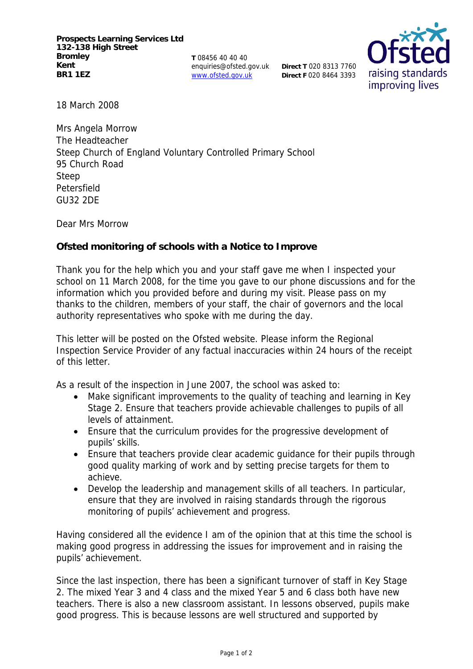**T** 08456 40 40 40 enquiries@ofsted.gov.uk www.ofsted.gov.uk

**Direct T** 020 8313 7760 **Direct F** 020 8464 3393



18 March 2008

Mrs Angela Morrow The Headteacher Steep Church of England Voluntary Controlled Primary School 95 Church Road Steep Petersfield GU32 2DE

Dear Mrs Morrow

**Ofsted monitoring of schools with a Notice to Improve**

Thank you for the help which you and your staff gave me when I inspected your school on 11 March 2008, for the time you gave to our phone discussions and for the information which you provided before and during my visit. Please pass on my thanks to the children, members of your staff, the chair of governors and the local authority representatives who spoke with me during the day.

This letter will be posted on the Ofsted website. Please inform the Regional Inspection Service Provider of any factual inaccuracies within 24 hours of the receipt of this letter.

As a result of the inspection in June 2007, the school was asked to:

- Make significant improvements to the quality of teaching and learning in Key Stage 2. Ensure that teachers provide achievable challenges to pupils of all levels of attainment.
- Ensure that the curriculum provides for the progressive development of pupils' skills.
- Ensure that teachers provide clear academic guidance for their pupils through good quality marking of work and by setting precise targets for them to achieve.
- Develop the leadership and management skills of all teachers. In particular, ensure that they are involved in raising standards through the rigorous monitoring of pupils' achievement and progress.

Having considered all the evidence I am of the opinion that at this time the school is making good progress in addressing the issues for improvement and in raising the pupils' achievement.

Since the last inspection, there has been a significant turnover of staff in Key Stage 2. The mixed Year 3 and 4 class and the mixed Year 5 and 6 class both have new teachers. There is also a new classroom assistant. In lessons observed, pupils make good progress. This is because lessons are well structured and supported by